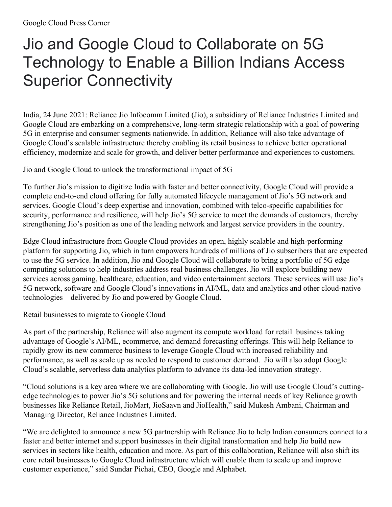## Jio and Google Cloud to Collaborate on 5G Technology to Enable a Billion Indians Access Superior Connectivity

India, 24 June 2021: Reliance Jio Infocomm Limited (Jio), a subsidiary of Reliance Industries Limited and Google Cloud are embarking on a comprehensive, long-term strategic relationship with a goal of powering 5G in enterprise and consumer segments nationwide. In addition, Reliance will also take advantage of Google Cloud's scalable infrastructure thereby enabling its retail business to achieve better operational efficiency, modernize and scale for growth, and deliver better performance and experiences to customers.

Jio and Google Cloud to unlock the transformational impact of 5G

To further Jio's mission to digitize India with faster and better connectivity, Google Cloud will provide a complete end-to-end cloud offering for fully automated lifecycle management of Jio's 5G network and services. Google Cloud's deep expertise and innovation, combined with telco-specific capabilities for security, performance and resilience, will help Jio's 5G service to meet the demands of customers, thereby strengthening Jio's position as one of the leading network and largest service providers in the country.

Edge Cloud infrastructure from Google Cloud provides an open, highly scalable and high-performing platform for supporting Jio, which in turn empowers hundreds of millions of Jio subscribers that are expected to use the 5G service. In addition, Jio and Google Cloud will collaborate to bring a portfolio of 5G edge computing solutions to help industries address real business challenges. Jio will explore building new services across gaming, healthcare, education, and video entertainment sectors. These services will use Jio's 5G network, software and Google Cloud's innovations in AI/ML, data and analytics and other cloud-native technologies—delivered by Jio and powered by Google Cloud.

Retail businesses to migrate to Google Cloud

As part of the partnership, Reliance will also augment its compute workload for retail business taking advantage of Google's AI/ML, ecommerce, and demand forecasting offerings. This will help Reliance to rapidly grow its new commerce business to leverage Google Cloud with increased reliability and performance, as well as scale up as needed to respond to customer demand. Jio will also adopt Google Cloud's scalable, serverless data analytics platform to advance its data-led innovation strategy.

"Cloud solutions is a key area where we are collaborating with Google. Jio will use Google Cloud's cuttingedge technologies to power Jio's 5G solutions and for powering the internal needs of key Reliance growth businesses like Reliance Retail, JioMart, JioSaavn and JioHealth," said Mukesh Ambani, Chairman and Managing Director, Reliance Industries Limited.

"We are delighted to announce a new 5G partnership with Reliance Jio to help Indian consumers connect to a faster and better internet and support businesses in their digital transformation and help Jio build new services in sectors like health, education and more. As part of this collaboration, Reliance will also shift its core retail businesses to Google Cloud infrastructure which will enable them to scale up and improve customer experience," said Sundar Pichai, CEO, Google and Alphabet.